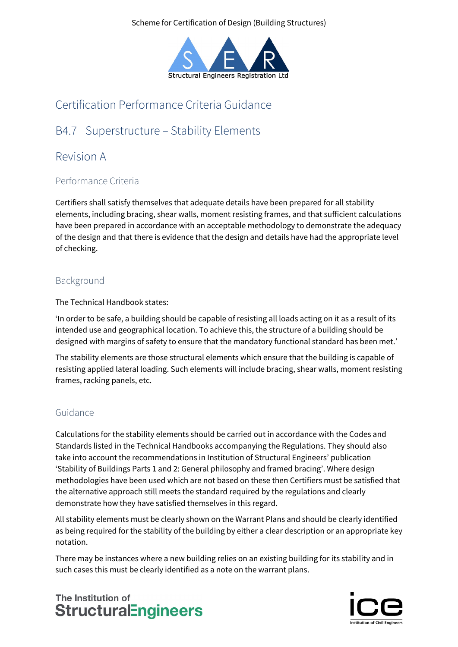Scheme for Certification of Design (Building Structures)



# Certification Performance Criteria Guidance

# B4.7 Superstructure – Stability Elements

## Revision A

### Performance Criteria

Certifiers shall satisfy themselves that adequate details have been prepared for all stability elements, including bracing, shear walls, moment resisting frames, and that sufficient calculations have been prepared in accordance with an acceptable methodology to demonstrate the adequacy of the design and that there is evidence that the design and details have had the appropriate level of checking.

#### Background

The Technical Handbook states:

'In order to be safe, a building should be capable of resisting all loads acting on it as a result of its intended use and geographical location. To achieve this, the structure of a building should be designed with margins of safety to ensure that the mandatory functional standard has been met.'

The stability elements are those structural elements which ensure that the building is capable of resisting applied lateral loading. Such elements will include bracing, shear walls, moment resisting frames, racking panels, etc.

### Guidance

Calculations for the stability elements should be carried out in accordance with the Codes and Standards listed in the Technical Handbooks accompanying the Regulations. They should also take into account the recommendations in Institution of Structural Engineers' publication 'Stability of Buildings Parts 1 and 2: General philosophy and framed bracing'. Where design methodologies have been used which are not based on these then Certifiers must be satisfied that the alternative approach still meets the standard required by the regulations and clearly demonstrate how they have satisfied themselves in this regard.

All stability elements must be clearly shown on the Warrant Plans and should be clearly identified as being required for the stability of the building by either a clear description or an appropriate key notation.

There may be instances where a new building relies on an existing building for its stability and in such cases this must be clearly identified as a note on the warrant plans.

## The Institution of **StructuralEngineers**